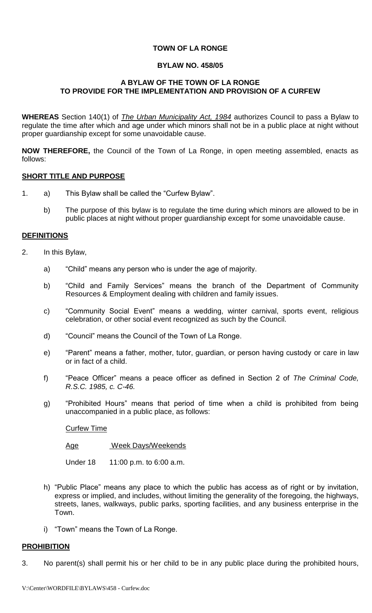# **TOWN OF LA RONGE**

#### **BYLAW NO. 458/05**

### **A BYLAW OF THE TOWN OF LA RONGE TO PROVIDE FOR THE IMPLEMENTATION AND PROVISION OF A CURFEW**

**WHEREAS** Section 140(1) of *The Urban Municipality Act, 1984* authorizes Council to pass a Bylaw to regulate the time after which and age under which minors shall not be in a public place at night without proper guardianship except for some unavoidable cause.

**NOW THEREFORE,** the Council of the Town of La Ronge, in open meeting assembled, enacts as follows:

### **SHORT TITLE AND PURPOSE**

- 1. a) This Bylaw shall be called the "Curfew Bylaw".
	- b) The purpose of this bylaw is to regulate the time during which minors are allowed to be in public places at night without proper guardianship except for some unavoidable cause.

### **DEFINITIONS**

- 2. In this Bylaw,
	- a) "Child" means any person who is under the age of majority.
	- b) "Child and Family Services" means the branch of the Department of Community Resources & Employment dealing with children and family issues.
	- c) "Community Social Event" means a wedding, winter carnival, sports event, religious celebration, or other social event recognized as such by the Council.
	- d) "Council" means the Council of the Town of La Ronge.
	- e) "Parent" means a father, mother, tutor, guardian, or person having custody or care in law or in fact of a child.
	- f) "Peace Officer" means a peace officer as defined in Section 2 of *The Criminal Code, R.S.C. 1985, c. C-46.*
	- g) "Prohibited Hours" means that period of time when a child is prohibited from being unaccompanied in a public place, as follows:

#### Curfew Time

Age Week Days/Weekends

Under 18 11:00 p.m. to 6:00 a.m.

- h) "Public Place" means any place to which the public has access as of right or by invitation, express or implied, and includes, without limiting the generality of the foregoing, the highways, streets, lanes, walkways, public parks, sporting facilities, and any business enterprise in the Town.
- i) "Town" means the Town of La Ronge.

# **PROHIBITION**

3. No parent(s) shall permit his or her child to be in any public place during the prohibited hours,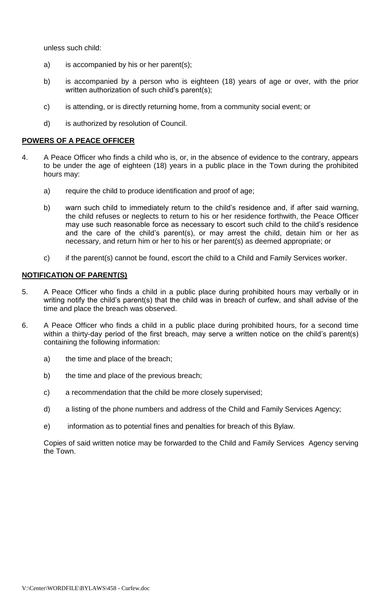unless such child:

- a) is accompanied by his or her parent(s);
- b) is accompanied by a person who is eighteen (18) years of age or over, with the prior written authorization of such child's parent(s);
- c) is attending, or is directly returning home, from a community social event; or
- d) is authorized by resolution of Council.

### **POWERS OF A PEACE OFFICER**

- 4. A Peace Officer who finds a child who is, or, in the absence of evidence to the contrary, appears to be under the age of eighteen (18) years in a public place in the Town during the prohibited hours may:
	- a) require the child to produce identification and proof of age;
	- b) warn such child to immediately return to the child's residence and, if after said warning, the child refuses or neglects to return to his or her residence forthwith, the Peace Officer may use such reasonable force as necessary to escort such child to the child's residence and the care of the child's parent(s), or may arrest the child, detain him or her as necessary, and return him or her to his or her parent(s) as deemed appropriate; or
	- c) if the parent(s) cannot be found, escort the child to a Child and Family Services worker.

# **NOTIFICATION OF PARENT(S)**

- 5. A Peace Officer who finds a child in a public place during prohibited hours may verbally or in writing notify the child's parent(s) that the child was in breach of curfew, and shall advise of the time and place the breach was observed.
- 6. A Peace Officer who finds a child in a public place during prohibited hours, for a second time within a thirty-day period of the first breach, may serve a written notice on the child's parent(s) containing the following information:
	- a) the time and place of the breach;
	- b) the time and place of the previous breach;
	- c) a recommendation that the child be more closely supervised;
	- d) a listing of the phone numbers and address of the Child and Family Services Agency;
	- e) information as to potential fines and penalties for breach of this Bylaw.

Copies of said written notice may be forwarded to the Child and Family Services Agency serving the Town.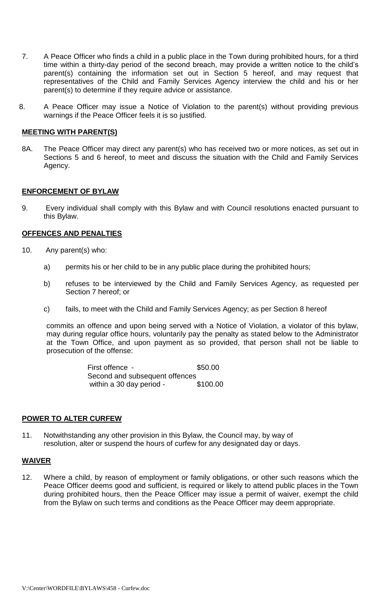- 7. A Peace Officer who finds a child in a public place in the Town during prohibited hours, for a third time within a thirty-day period of the second breach, may provide a written notice to the child's parent(s) containing the information set out in Section 5 hereof, and may request that representatives of the Child and Family Services Agency interview the child and his or her parent(s) to determine if they require advice or assistance.
- 8. A Peace Officer may issue a Notice of Violation to the parent(s) without providing previous warnings if the Peace Officer feels it is so justified.

### **MEETING WITH PARENT(S)**

8A. The Peace Officer may direct any parent(s) who has received two or more notices, as set out in Sections 5 and 6 hereof, to meet and discuss the situation with the Child and Family Services Agency.

### **ENFORCEMENT OF BYLAW**

9. Every individual shall comply with this Bylaw and with Council resolutions enacted pursuant to this Bylaw.

### **OFFENCES AND PENALTIES**

- 10. Any parent(s) who:
	- a) permits his or her child to be in any public place during the prohibited hours;
	- b) refuses to be interviewed by the Child and Family Services Agency, as requested per Section 7 hereof; or
	- c) fails, to meet with the Child and Family Services Agency; as per Section 8 hereof

commits an offence and upon being served with a Notice of Violation, a violator of this bylaw, may during regular office hours, voluntarily pay the penalty as stated below to the Administrator at the Town Office, and upon payment as so provided, that person shall not be liable to prosecution of the offense:

> First offence - \$50.00 Second and subsequent offences within a 30 day period  $-$  \$100.00

# **POWER TO ALTER CURFEW**

11. Notwithstanding any other provision in this Bylaw, the Council may, by way of resolution, alter or suspend the hours of curfew for any designated day or days.

# **WAIVER**

12. Where a child, by reason of employment or family obligations, or other such reasons which the Peace Officer deems good and sufficient, is required or likely to attend public places in the Town during prohibited hours, then the Peace Officer may issue a permit of waiver, exempt the child from the Bylaw on such terms and conditions as the Peace Officer may deem appropriate.